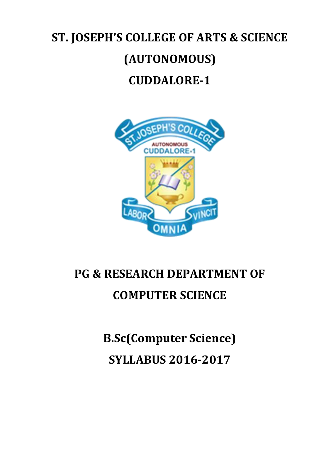# **ST. JOSEPH'S COLLEGE OF ARTS & SCIENCE (AUTONOMOUS) CUDDALORE-1**



# **PG & RESEARCH DEPARTMENT OF COMPUTER SCIENCE**

**B.Sc(Computer Science) SYLLABUS 2016-2017**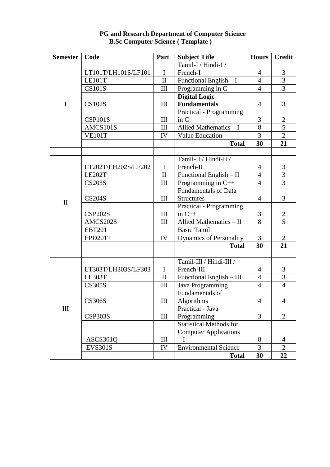| <b>Semester</b> | Code                | Part               | <b>Subject Title</b>           | <b>Hours</b>   | <b>Credit</b>  |
|-----------------|---------------------|--------------------|--------------------------------|----------------|----------------|
|                 |                     |                    | Tamil-I / Hindi-I /            |                |                |
|                 | LT101T/LH101S/LF101 | $\bf{I}$           | French-I                       | $\overline{4}$ | 3              |
|                 | LE101T              | $\mathbf{I}$       | Functional English - I         | $\overline{4}$ | 3              |
|                 | <b>CS101S</b>       | $\mathop{\rm III}$ | Programming in C               | $\overline{4}$ | 3              |
|                 |                     |                    | <b>Digital Logic</b>           |                |                |
| I               | <b>CS102S</b>       | III                | <b>Fundamentals</b>            | $\overline{4}$ | 3              |
|                 |                     |                    | <b>Practical - Programming</b> |                |                |
|                 | <b>CSP101S</b>      | III                | in C                           | 3              | 2              |
|                 | AMCS101S            | III                | Allied Mathematics - I         | 8              | 5              |
|                 | <b>VE101T</b>       | IV                 | <b>Value Education</b>         | $\overline{3}$ | $\overline{2}$ |
|                 |                     |                    | <b>Total</b>                   | 30             | 21             |
|                 |                     |                    |                                |                |                |
|                 |                     |                    | Tamil-II / Hindi-II /          |                |                |
|                 | LT202T/LH202S/LF202 | $\mathbf I$        | French-II                      | $\overline{4}$ | 3              |
|                 | LE202T              | $\mathbf{I}$       | Functional English - II        | $\overline{4}$ | 3              |
|                 | <b>CS203S</b>       | $\mathop{\rm III}$ | Programming in C++             | $\overline{4}$ | 3              |
|                 |                     |                    | <b>Fundamentals of Data</b>    |                |                |
| $\mathbf{I}$    | <b>CS204S</b>       | III                | <b>Structures</b>              | $\overline{4}$ | 3              |
|                 |                     |                    | <b>Practical - Programming</b> |                |                |
|                 | <b>CSP202S</b>      | III                | in $C++$                       | 3              | $\overline{2}$ |
|                 | AMCS202S            | III                | Allied Mathematics - II        | 8              | 5              |
|                 | <b>EBT201</b>       |                    | <b>Basic Tamil</b>             |                |                |
|                 | EPD201T             | IV                 | <b>Dynamics of Personality</b> | 3              | $\overline{2}$ |
|                 |                     |                    | <b>Total</b>                   | 30             | 21             |
|                 |                     |                    |                                |                |                |
|                 |                     |                    | Tamil-III / Hindi-III /        |                |                |
| III             | LT303T/LH303S/LF303 | $\bf{I}$           | French-III                     | 4              | 3              |
|                 | <b>LE303T</b>       | $\mathbf{I}$       | Functional English - III       | $\overline{4}$ | 3              |
|                 | <b>CS305S</b>       | III                | Java Programming               | $\overline{4}$ | $\overline{4}$ |
|                 |                     |                    | Fundamentals of                |                |                |
|                 | <b>CS306S</b>       | III                | Algorithms                     | $\overline{4}$ | 4              |
|                 |                     |                    | Practical - Java               |                |                |
|                 | <b>CSP303S</b>      | III                | Programming                    | 3              | $\overline{2}$ |
|                 |                     |                    | <b>Statistical Methods for</b> |                |                |
|                 |                     |                    | <b>Computer Applications</b>   |                |                |
|                 | ASCS301Q            | $\mathop{\rm III}$ | $-\mathrm{I}$                  | 8              | 4              |
|                 | <b>EVS301S</b>      | IV                 | <b>Environmental Science</b>   | 3              | $\overline{2}$ |
|                 |                     |                    | <b>Total</b>                   | 30             | 22             |

### **PG and Research Department of Computer Science B.Sc Computer Science ( Template )**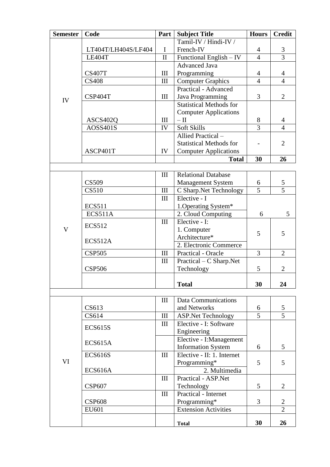| <b>Semester</b> | Code                | Part         | <b>Subject Title</b>                       | <b>Hours</b>        | <b>Credit</b>       |
|-----------------|---------------------|--------------|--------------------------------------------|---------------------|---------------------|
|                 |                     |              | Tamil-IV / Hindi-IV /                      |                     |                     |
|                 | LT404T/LH404S/LF404 | I            | French-IV                                  | $\overline{4}$      | 3                   |
|                 | LE404T              | $\mathbf{I}$ | Functional English - IV                    | $\overline{4}$      | $\overline{3}$      |
|                 |                     |              | <b>Advanced Java</b>                       |                     |                     |
|                 | <b>CS407T</b>       | III          | Programming                                | $\overline{4}$      | $\overline{4}$      |
|                 | <b>CS408</b>        | III          | <b>Computer Graphics</b>                   | $\overline{4}$      | $\overline{4}$      |
|                 |                     |              | <b>Practical - Advanced</b>                |                     |                     |
| IV              | CSP404T             | III          | Java Programming                           | 3                   | $\overline{2}$      |
|                 |                     |              | <b>Statistical Methods for</b>             |                     |                     |
|                 |                     |              | <b>Computer Applications</b>               |                     |                     |
|                 | ASCS402Q            | III          | $-\amalg$                                  | 8                   | 4                   |
|                 | <b>AOSS401S</b>     | IV           | Soft Skills                                | $\overline{3}$      | $\overline{4}$      |
|                 |                     |              | Allied Practical -                         |                     |                     |
|                 |                     |              | <b>Statistical Methods for</b>             |                     | $\overline{2}$      |
|                 | ASCP401T            | IV           | <b>Computer Applications</b>               |                     |                     |
|                 |                     |              | <b>Total</b>                               | 30                  | 26                  |
|                 |                     |              |                                            |                     |                     |
|                 |                     | III          | <b>Relational Database</b>                 |                     |                     |
|                 | <b>CS509</b>        |              | <b>Management System</b>                   | 6<br>$\overline{5}$ | 5<br>$\overline{5}$ |
|                 | <b>CS510</b>        | III          | C Sharp.Net Technology<br>Elective - I     |                     |                     |
|                 | <b>ECS511</b>       | III          |                                            |                     |                     |
|                 | <b>ECS511A</b>      |              | 1. Operating System*<br>2. Cloud Computing | 6                   | 5                   |
|                 |                     | III          | Elective - I:                              |                     |                     |
| V               | <b>ECS512</b>       |              | 1. Computer                                |                     |                     |
|                 |                     |              | Architecture*                              | 5                   | 5                   |
|                 | ECS512A             |              | 2. Electronic Commerce                     |                     |                     |
|                 | <b>CSP505</b>       | Ш            | Practical - Oracle                         | 3                   | $\overline{2}$      |
|                 |                     | III          | Practical – C Sharp.Net                    |                     |                     |
|                 | <b>CSP506</b>       |              | Technology                                 | 5                   | $\overline{2}$      |
|                 |                     |              |                                            |                     |                     |
|                 |                     |              | <b>Total</b>                               | 30                  | 24                  |
|                 |                     |              |                                            |                     |                     |
|                 |                     | Ш            | <b>Data Communications</b>                 |                     |                     |
|                 | CS613               |              | and Networks                               | 6                   | 5                   |
|                 | CS614               | III          | <b>ASP.Net Technology</b>                  | $\overline{5}$      | $\overline{5}$      |
|                 | <b>ECS615S</b>      | III          | Elective - I: Software                     |                     |                     |
|                 |                     |              | Engineering                                |                     |                     |
| VI              | ECS615A             |              | Elective - I:Management                    |                     |                     |
|                 |                     |              | <b>Information System</b>                  | 6                   | 5                   |
|                 | <b>ECS616S</b>      | III          | Elective - II: 1. Internet                 |                     |                     |
|                 |                     |              | Programming*                               | 5                   | 5                   |
|                 | ECS616A             |              | 2. Multimedia                              |                     |                     |
|                 |                     | III          | Practical - ASP.Net                        |                     |                     |
|                 | <b>CSP607</b>       |              | Technology                                 | 5                   | $\overline{2}$      |
|                 |                     | III          | Practical - Internet                       |                     |                     |
|                 | <b>CSP608</b>       |              | Programming*                               | 3                   | $\overline{2}$      |
|                 | EU601               |              | <b>Extension Activities</b>                |                     | $\overline{2}$      |
|                 |                     |              | <b>Total</b>                               | 30                  | 26                  |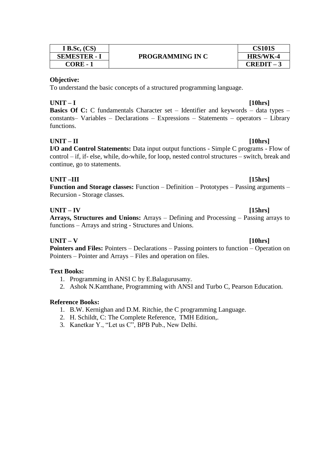| I B.Sc. $(CS)$    | <b>PROGRAMMING IN C</b> | <b>CS101S</b> |
|-------------------|-------------------------|---------------|
| <b>SEMESTER -</b> |                         | HRS/WK-4      |
| CORE - 1          |                         | $CREDIT - 1$  |

To understand the basic concepts of a structured programming language.

# **UNIT – I [10hrs]**

**Basics Of C:** C fundamentals Character set – Identifier and keywords – data types – constants– Variables – Declarations – Expressions – Statements – operators – Library functions.

# **UNIT – II [10hrs]**

**I/O and Control Statements:** Data input output functions - Simple C programs - Flow of control – if, if- else, while, do-while, for loop, nested control structures – switch, break and continue, go to statements.

# **UNIT –III [15hrs]**

**Function and Storage classes:** Function – Definition – Prototypes – Passing arguments – Recursion - Storage classes.

# **UNIT – IV [15hrs]**

**Arrays, Structures and Unions:** Arrays – Defining and Processing – Passing arrays to functions – Arrays and string - Structures and Unions.

# **UNIT – V [10hrs]**

**Pointers and Files:** Pointers – Declarations – Passing pointers to function – Operation on Pointers – Pointer and Arrays – Files and operation on files.

# **Text Books:**

- 1. Programming in ANSI C by E.Balagurusamy.
- 2. Ashok N.Kamthane, Programming with ANSI and Turbo C, Pearson Education.

- 1. B.W. Kernighan and D.M. Ritchie, the C programming Language.
- 2. H. Schildt, C: The Complete Reference, TMH Edition,.
- 3. Kanetkar Y., "Let us C", BPB Pub., New Delhi.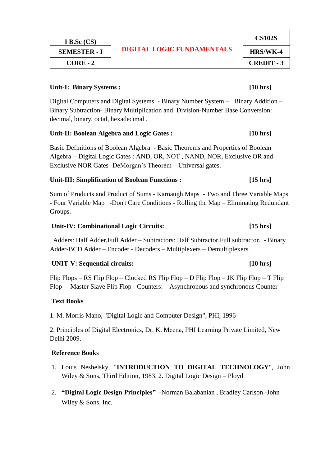| I B.Sc $(CS)$       | <b>DIGITAL LOGIC FUNDAMENTALS</b> | <b>CS102S</b>     |
|---------------------|-----------------------------------|-------------------|
| <b>SEMESTER - I</b> |                                   | HRS/WK-4          |
| $CORE-2$            |                                   | <b>CREDIT - 3</b> |
|                     |                                   |                   |

# Unit-I: Binary Systems : *[10 hrs]*

Digital Computers and Digital Systems - Binary Number System – Binary Addition – Binary Subtraction- Binary Multiplication and Division-Number Base Conversion: decimal, binary, octal, hexadecimal .

# **Unit-II: Boolean Algebra and Logic Gates : [10 hrs]**

Basic Definitions of Boolean Algebra - Basic Theorems and Properties of Boolean Algebra - Digital Logic Gates : AND, OR, NOT , NAND, NOR, Exclusive OR and Exclusive NOR Gates- DeMorgan's Theorem – Universal gates.

# **Unit-III: Simplification of Boolean Functions : [15 hrs]**

Sum of Products and Product of Sums - Karnaugh Maps - Two and Three Variable Maps - Four Variable Map -Don't Care Conditions - Rolling the Map – Eliminating Redundant Groups.

# **Unit-IV: Combinational Logic Circuits: [15 hrs]**

 Adders: Half Adder,Full Adder – Subtractors: Half Subtractor,Full subtractor. - Binary Adder-BCD Adder – Encoder - Decoders – Multiplexers – Demultiplexers.

# **UNIT-V: Sequential circuits: [10 hrs]**

Flip Flops – RS Flip Flop – Clocked RS Flip Flop – D Flip Flop – JK Flip Flop – T Flip Flop – Master Slave Flip Flop - Counters: – Asynchronous and synchronous Counter

# **Text Books**

1. M. Morris Mano, "Digital Logic and Computer Design", PHI, 1996

2. Principles of Digital Electronics, Dr. K. Meena, PHI Learning Private Limited, New Delhi 2009.

- 1. Louis Neshelsky, "**INTRODUCTION TO DIGITAL TECHNOLOGY**", John Wiley & Sons, Third Edition, 1983. 2. Digital Logic Design – Ployd
- 2. **"Digital Logic Design Principles" -**[Norman Balabanian](http://www.amazon.in/Norman-Balabanian/e/B001HD3IJY/ref=dp_byline_cont_book_1) , [Bradley Carlson](http://www.amazon.in/s/ref=dp_byline_sr_book_2?ie=UTF8&field-author=Bradley+Carlson&search-alias=stripbooks) -John Wiley & Sons, Inc.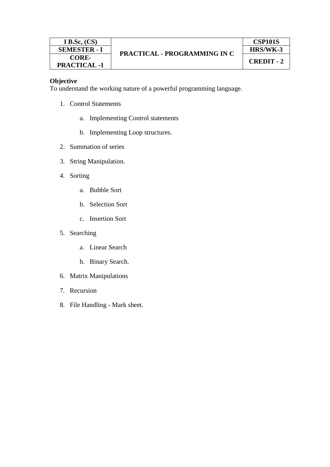To understand the working nature of a powerful programming language.

- 1. Control Statements
	- a. Implementing Control statements
	- b. Implementing Loop structures.
- 2. Summation of series
- 3. String Manipulation.
- 4. Sorting
	- a. Bubble Sort
	- b. Selection Sort
	- c. Insertion Sort
- 5. Searching
	- a. Linear Search
	- b. Binary Search.
- 6. Matrix Manipulations
- 7. Recursion
- 8. File Handling Mark sheet.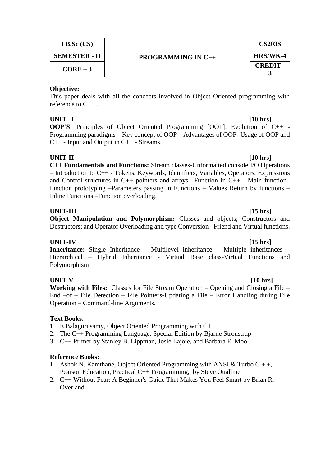| I B.Sc $(CS)$        | <b>PROGRAMMING IN C++</b> | <b>CS203S</b>   |
|----------------------|---------------------------|-----------------|
| <b>SEMESTER - II</b> |                           | HRS/WK-4        |
| $CORE-3$             |                           | <b>CREDIT -</b> |

This paper deals with all the concepts involved in Object Oriented programming with reference to C++ .

# **UNIT –I [10 hrs]**

**OOP'S**: Principles of Object Oriented Programming [OOP]: Evolution of C++ - Programming paradigms – Key concept of OOP – Advantages of OOP- Usage of OOP and C++ - Input and Output in C++ - Streams.

# **UNIT-II [10 hrs]**

**C++ Fundamentals and Functions:** Stream classes-Unformatted console I/O Operations – Introduction to C++ - Tokens, Keywords, Identifiers, Variables, Operators, Expressions and Control structures in  $C_{++}$  pointers and arrays –Function in  $C_{++}$  - Main function– function prototyping –Parameters passing in Functions – Values Return by functions – Inline Functions –Function overloading.

### **UNIT-III [15 hrs] Object Manipulation and Polymorphism:** Classes and objects; Constructors and Destructors; and Operator Overloading and type Conversion –Friend and Virtual functions.

**UNIT-IV [15 hrs] Inheritance:** Single Inheritance – Multilevel inheritance – Multiple inheritances – Hierarchical – Hybrid Inheritance - Virtual Base class-Virtual Functions and Polymorphism

**UNIT-V [10 hrs] Working with Files:** Classes for File Stream Operation – Opening and Closing a File – End –of – File Detection – File Pointers-Updating a File – Error Handling during File Operation – Command-line Arguments.

# **Text Books:**

- 1. E.Balagurusamy, Object Oriented Programming with C++.
- 2. The C++ Programming Language: Special Edition by [Bjarne Stroustrup](http://www.amazon.com/Bjarne-Stroustrup/e/B000AQ349S/ref=sr_ntt_srch_lnk_1?_encoding=UTF8&qid=1276781571&sr=1-1)
- 3. C++ Primer by Stanley B. Lippman, Josie Lajoie, and Barbara E. Moo

- 1. Ashok N. Kamthane, Object Oriented Programming with ANSI & Turbo  $C + +$ , Pearson Education, Practical C++ Programming, by Steve Oualline
- 2. [C++ Without Fear: A Beginner's Guide That Makes You Feel Smart](http://www.amazon.com/Without-Fear-Beginners-Guide-Makes/dp/0321246950/ref=sr_1_7?ie=UTF8&s=books&qid=1276781571&sr=1-7) by [Brian R.](http://www.amazon.com/Brian-R.-Overland/e/B001IXPWII/ref=sr_ntt_srch_lnk_6?_encoding=UTF8&qid=1276781571&sr=1-7)  **[Overland](http://www.amazon.com/Brian-R.-Overland/e/B001IXPWII/ref=sr_ntt_srch_lnk_6?_encoding=UTF8&qid=1276781571&sr=1-7)**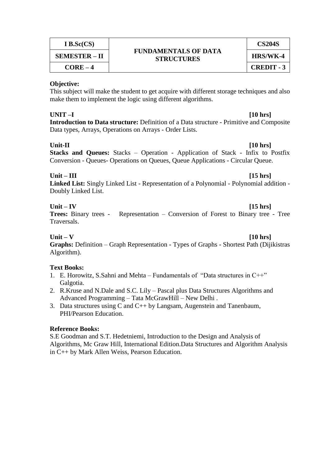| I B.Sc(CS)           |                                                  | <b>CS204S</b>     |
|----------------------|--------------------------------------------------|-------------------|
| <b>SEMESTER – II</b> | <b>FUNDAMENTALS OF DATA</b><br><b>STRUCTURES</b> | HRS/WK-4          |
| $CORE-4$             |                                                  | <b>CREDIT - 3</b> |

This subject will make the student to get acquire with different storage techniques and also make them to implement the logic using different algorithms.

**UNIT –I [10 hrs] Introduction to Data structure:** Definition of a Data structure - Primitive and Composite Data types, Arrays, Operations on Arrays - Order Lists.

**Unit-II [10 hrs] Stacks and Queues:** Stacks – Operation - Application of Stack - Infix to Postfix Conversion - Queues- Operations on Queues, Queue Applications - Circular Queue.

# **Unit – III [15 hrs]**

**Linked List:** Singly Linked List - Representation of a Polynomial - Polynomial addition - Doubly Linked List.

# **Unit – IV [15 hrs]**

**Trees:** Binary trees - Representation – Conversion of Forest to Binary tree - Tree Traversals.

**Unit – V [10 hrs]**

**Graphs:** Definition – Graph Representation - Types of Graphs - Shortest Path (Dijikistras Algorithm).

# **Text Books:**

- 1. E. Horowitz, S.Sahni and Mehta Fundamentals of "Data structures in C++" Galgotia.
- 2. R.Kruse and N.Dale and S.C. Lily Pascal plus Data Structures Algorithms and Advanced Programming – Tata McGrawHill – New Delhi .
- 3. Data structures using C and C++ by Langsam, Augenstein and Tanenbaum, PHI/Pearson Education.

# **Reference Books:**

S.E Goodman and S.T. Hedetniemi, Introduction to the Design and Analysis of Algorithms, Mc Graw Hill, International Edition.Data Structures and Algorithm Analysis in C++ by Mark Allen Weiss, Pearson Education.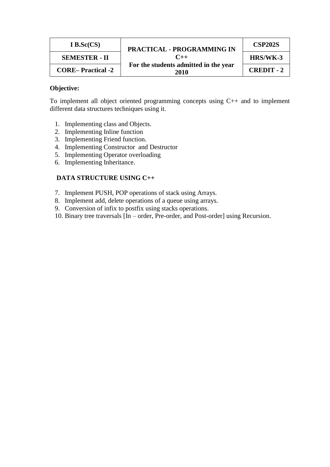| I B.Sc $(CS)$            | <b>PRACTICAL - PROGRAMMING IN</b>             | <b>CSP202S</b>    |
|--------------------------|-----------------------------------------------|-------------------|
| <b>SEMESTER - II</b>     | $C_{++}$                                      | HRS/WK-3          |
| <b>CORE–Practical -2</b> | For the students admitted in the year<br>2010 | <b>CREDIT - 2</b> |

To implement all object oriented programming concepts using C++ and to implement different data structures techniques using it.

- 1. Implementing class and Objects.
- 2. Implementing Inline function
- 3. Implementing Friend function.
- 4. Implementing Constructor and Destructor
- 5. Implementing Operator overloading
- 6. Implementing Inheritance.

### **DATA STRUCTURE USING C++**

- 7. Implement PUSH, POP operations of stack using Arrays.
- 8. Implement add, delete operations of a queue using arrays.
- 9. Conversion of infix to postfix using stacks operations.
- 10. Binary tree traversals [In order, Pre-order, and Post-order] using Recursion.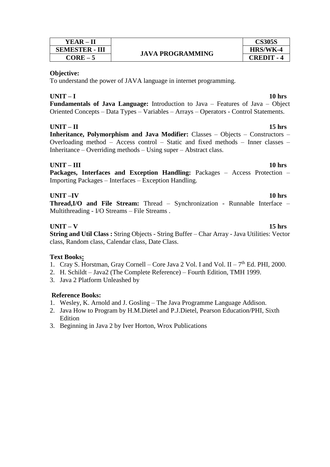| YEAR – II             |
|-----------------------|
| <b>SEMESTER - III</b> |
| $CORE-5$              |



To understand the power of JAVA language in internet programming.

# **UNIT – I 10 hrs**

**Fundamentals of Java Language:** Introduction to Java – Features of Java – Object Oriented Concepts – Data Types – Variables – Arrays – Operators - Control Statements.

# **UNIT – II 15 hrs**

**Inheritance, Polymorphism and Java Modifier:** Classes – Objects – Constructors – Overloading method – Access control – Static and fixed methods – Inner classes – Inheritance – Overriding methods – Using super – Abstract class.

# **UNIT – III 10 hrs**

**Packages, Interfaces and Exception Handling:** Packages – Access Protection – Importing Packages – Interfaces – Exception Handling.

# **UNIT –IV 10 hrs**

**Thread,I/O and File Stream:** Thread – Synchronization - Runnable Interface – Multithreading - I/O Streams – File Streams .

# **UNIT – V 15 hrs**

**String and Util Class :** String Objects - String Buffer – Char Array - Java Utilities: Vector class, Random class, Calendar class, Date Class.

# **Text Books:**

- 1. Cray S. Horstman, Gray Cornell Core Java 2 Vol. I and Vol. II  $7<sup>th</sup>$  Ed. PHI, 2000.
- 2. H. Schildt Java2 (The Complete Reference) Fourth Edition, TMH 1999.
- 3. Java 2 Platform Unleashed by

- 1. Wesley, K. Arnold and J. Gosling The Java Programme Language Addison.
- 2. Java How to Program by H.M.Dietel and P.J.Dietel, Pearson Education/PHI, Sixth Edition
- 3. Beginning in Java 2 by Iver Horton, Wrox Publications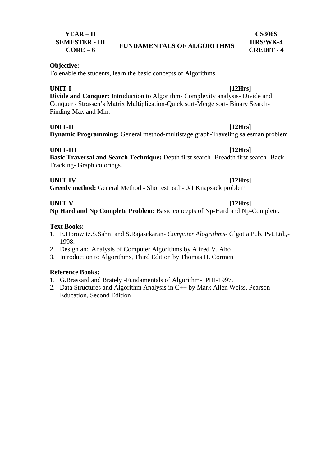To enable the students, learn the basic concepts of Algorithms.

# **UNIT-I [12Hrs]**

**Divide and Conquer:** Introduction to Algorithm- Complexity analysis- Divide and Conquer - Strassen's Matrix Multiplication-Quick sort-Merge sort- Binary Search-Finding Max and Min.

# **UNIT-II [12Hrs]**

**Dynamic Programming:** General method-multistage graph-Traveling salesman problem

# **UNIT-III [12Hrs]**

**Basic Traversal and Search Technique:** Depth first search- Breadth first search- Back Tracking- Graph colorings.

# **UNIT-IV [12Hrs]**

**Greedy method:** General Method - Shortest path- 0/1 Knapsack problem

# **UNIT-V [12Hrs]**

**Np Hard and Np Complete Problem:** Basic concepts of Np-Hard and Np-Complete.

# **Text Books:**

- 1. E.Horowitz.S.Sahni and S.Rajasekaran- *Computer Alogrithms* Glgotia Pub, Pvt.Ltd.,- 1998.
- 2. Design and Analysis of Computer Algorithms by Alfred V. Aho
- 3. [Introduction to Algorithms, Third Edition](http://www.amazon.com/Introduction-Algorithms-Thomas-H-Cormen/dp/0262033844/ref=pd_bxgy_b_text_c) by Thomas H. Cormen

- 1. G.Brassard and Brately -Fundamentals of Algorithm- PHI-1997.
- 2. Data Structures and Algorithm Analysis in C++ by Mark Allen Weiss, Pearson Education, Second Edition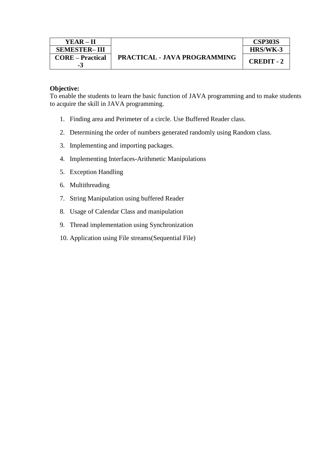To enable the students to learn the basic function of JAVA programming and to make students to acquire the skill in JAVA programming.

- 1. Finding area and Perimeter of a circle. Use Buffered Reader class.
- 2. Determining the order of numbers generated randomly using Random class.
- 3. Implementing and importing packages.
- 4. Implementing Interfaces-Arithmetic Manipulations
- 5. Exception Handling
- 6. Multithreading
- 7. String Manipulation using buffered Reader
- 8. Usage of Calendar Class and manipulation
- 9. Thread implementation using Synchronization
- 10. Application using File streams(Sequential File)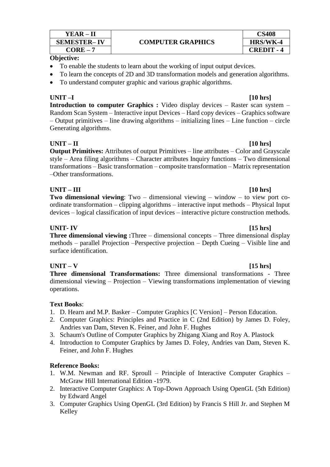| YEAR – II          | <b>COMPUTER GRAPHICS</b> | CS408             |
|--------------------|--------------------------|-------------------|
| <b>SEMESTER-IV</b> |                          | HRS/WK-4          |
| $CORE -$           |                          | <b>CREDIT - 4</b> |

- To enable the students to learn about the working of input output devices.
- To learn the concepts of 2D and 3D transformation models and generation algorithms.
- To understand computer graphic and various graphic algorithms.

**UNIT –I [10 hrs] Introduction to computer Graphics :** Video display devices – Raster scan system – Random Scan System – Interactive input Devices – Hard copy devices – Graphics software – Output primitives – line drawing algorithms – initializing lines – Line function – circle Generating algorithms.

# **UNIT – II [10 hrs]**

**Output Primitives:** Attributes of output Primitives – line attributes – Color and Grayscale style – Area filing algorithms – Character attributes Inquiry functions – Two dimensional transformations – Basic transformation – composite transformation – Matrix representation –Other transformations.

# **UNIT – III [10 hrs]**

**Two dimensional viewing**: Two – dimensional viewing – window – to view port coordinate transformation – clipping algorithms – interactive input methods – Physical Input devices – logical classification of input devices – interactive picture construction methods.

# **UNIT- IV [15 hrs]**

**Three dimensional viewing :**Three – dimensional concepts – Three dimensional display methods – parallel Projection –Perspective projection – Depth Cueing – Visible line and surface identification.

# **UNIT – V [15 hrs]**

**Three dimensional Transformations:** Three dimensional transformations - Three dimensional viewing – Projection – Viewing transformations implementation of viewing operations.

# **Text Books**:

- 1. D. Hearn and M.P. Basker Computer Graphics [C Version] Person Education.
- 2. [Computer Graphics: Principles and Practice in C \(2nd Edition\)](http://www.amazon.com/Computer-Graphics-Principles-Practice-2nd/dp/0201848406/ref=sr_1_3?ie=UTF8&s=books&qid=1276781178&sr=1-3) by [James D. Foley,](http://www.amazon.com/James-D.-Foley/e/B000AQ6STQ/ref=sr_ntt_srch_lnk_2?_encoding=UTF8&qid=1276781178&sr=1-3) Andries van Dam, Steven K. Feiner, and John F. Hughes
- 3. [Schaum's Outline of Computer Graphics](http://www.amazon.com/Schaums-Outline-Computer-Graphics-Zhigang/dp/0071357815/ref=sr_1_5?ie=UTF8&s=books&qid=1276781178&sr=1-5) by [Zhigang Xiang](http://www.amazon.com/Zhigang-Xiang/e/B001ITX1M6/ref=sr_ntt_srch_lnk_4?_encoding=UTF8&qid=1276781178&sr=1-5) and [Roy A. Plastock](http://www.amazon.com/Roy-A.-Plastock/e/B001ITVQ4G/ref=sr_ntt_srch_lnk_4?_encoding=UTF8&qid=1276781178&sr=1-5)
- 4. [Introduction to Computer Graphics](http://www.amazon.com/Introduction-Computer-Graphics-James-Foley/dp/0201609215/ref=sr_1_8?ie=UTF8&s=books&qid=1276781178&sr=1-8) by [James D. Foley,](http://www.amazon.com/James-D.-Foley/e/B000AQ6STQ/ref=sr_ntt_srch_lnk_7?_encoding=UTF8&qid=1276781178&sr=1-8) Andries van Dam, Steven K. Feiner, and John F. Hughes

- 1. W.M. Newman and RF. Sproull Principle of Interactive Computer Graphics McGraw Hill International Edition -1979.
- 2. [Interactive Computer Graphics: A Top-Down Approach Using OpenGL \(5th Edition\)](http://www.amazon.com/Interactive-Computer-Graphics-Top-Down-Approach/dp/0321535863/ref=sr_1_4?ie=UTF8&s=books&qid=1276781178&sr=1-4) by [Edward Angel](http://www.amazon.com/Edward-Angel/e/B001IOF5SE/ref=sr_ntt_srch_lnk_3?_encoding=UTF8&qid=1276781178&sr=1-4)
- 3. [Computer Graphics Using OpenGL \(3rd Edition\)](http://www.amazon.com/Computer-Graphics-Using-OpenGL-3rd/dp/0131496700/ref=sr_1_6?ie=UTF8&s=books&qid=1276781178&sr=1-6) by Francis S Hill Jr. and Stephen M Kelley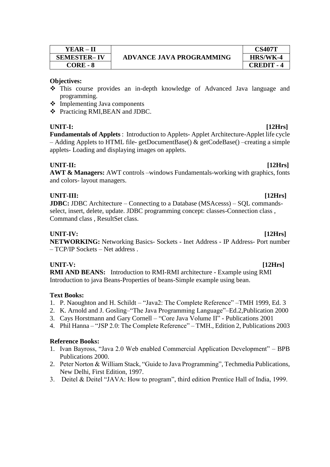| YEAR – II          |
|--------------------|
| <b>SEMESTER-IV</b> |
| CORE - 8           |

- This course provides an in-depth knowledge of Advanced Java language and programming.
- Implementing Java components
- Practicing RMI,BEAN and JDBC.

# **UNIT-I: [12Hrs]**

**Fundamentals of Applets** : Introduction to Applets- Applet Architecture-Applet life cycle – Adding Applets to HTML file- getDocumentBase() & getCodeBase() –creating a simple applets- Loading and displaying images on applets.

# **UNIT-II: [12Hrs]**

**AWT & Managers:** AWT controls –windows Fundamentals-working with graphics, fonts and colors- layout managers.

# **UNIT-III: [12Hrs]**

**JDBC:** JDBC Architecture – Connecting to a Database (MSAcesss) – SOL commandsselect, insert, delete, update. JDBC programming concept: classes-Connection class , Command class , ResultSet class.

# **UNIT-IV: [12Hrs]**

**NETWORKING:** Networking Basics- Sockets - Inet Address - IP Address- Port number – TCP/IP Sockets – Net address .

### **UNIT-V: [12Hrs]**

**RMI AND BEANS:** Introduction to RMI-RMI architecture - Example using RMI Introduction to java Beans-Properties of beans-Simple example using bean.

# **Text Books:**

- 1. P. Naoughton and H. Schildt "Java2: The Complete Reference" –TMH 1999, Ed. 3
- 2. K. Arnold and J. Gosling–"The Java Programming Language"–Ed.2,Publication 2000
- 3. Cays Horstmann and Gary Cornell "Core Java Volume II" Publications 2001
- 4. Phil Hanna "JSP 2.0: The Complete Reference" TMH., Edition 2, Publications 2003

- 1. Ivan Bayross, "Java 2.0 Web enabled Commercial Application Development" BPB Publications 2000.
- 2. Peter Norton & William Stack, "Guide to Java Programming", Techmedia Publications, New Delhi, First Edition, 1997.
- 3. Deitel & Deitel "JAVA: How to program", third edition Prentice Hall of India, 1999.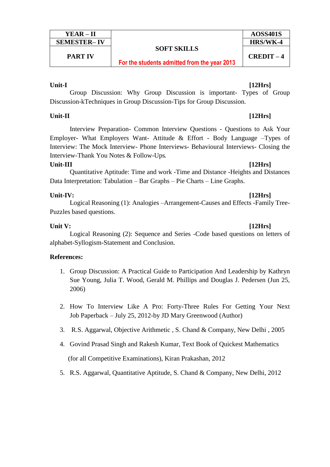| YEAR – II          |                                              | <b>AOSS401S</b> |
|--------------------|----------------------------------------------|-----------------|
| <b>SEMESTER-IV</b> |                                              | HRS/WK-4        |
|                    | <b>SOFT SKILLS</b>                           |                 |
| <b>PART IV</b>     | For the students admitted from the year 2013 | $CREDIT-4$      |

**Unit-I [12Hrs]**

Group Discussion: Why Group Discussion is important- Types of Group Discussion-kTechniques in Group Discussion-Tips for Group Discussion.

# **Unit-II [12Hrs]**

Interview Preparation- Common Interview Questions - Questions to Ask Your Employer- What Employers Want- Attitude & Effort - Body Language –Types of Interview: The Mock Interview- Phone Interviews- Behavioural Interviews- Closing the Interview-Thank You Notes & Follow-Ups*.*

# **Unit-III [12Hrs]**

Quantitative Aptitude: Time and work -Time and Distance -Heights and Distances Data Interpretation: Tabulation – Bar Graphs – Pie Charts – Line Graphs.

# **Unit-IV: [12Hrs]**

Logical Reasoning (1): Analogies –Arrangement-Causes and Effects -Family Tree-Puzzles based questions.

# **Unit V: [12Hrs]**

Logical Reasoning (2): Sequence and Series -Code based questions on letters of alphabet-Syllogism-Statement and Conclusion.

# **References:**

- 1. Group Discussion: A Practical Guide to Participation And Leadership by Kathryn Sue Young, Julia T. Wood, Gerald M. Phillips and Douglas J. Pedersen (Jun 25, 2006)
- 2. How To Interview Like A Pro: Forty-Three Rules For Getting Your Next Job Paperback – July 25, 2012-by JD Mary Greenwood (Author)
- 3. R.S. Aggarwal, Objective Arithmetic , S. Chand & Company, New Delhi , 2005
- 4. Govind Prasad Singh and Rakesh Kumar, Text Book of Quickest Mathematics (for all Competitive Examinations), Kiran Prakashan, 2012
- 5. R.S. Aggarwal, Quantitative Aptitude, S. Chand & Company, New Delhi, 2012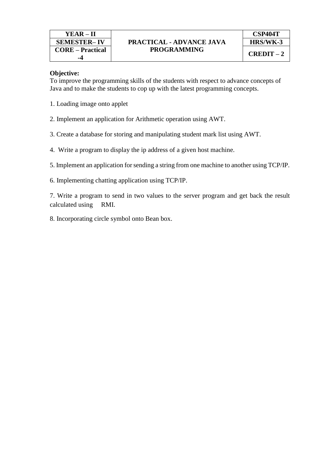To improve the programming skills of the students with respect to advance concepts of Java and to make the students to cop up with the latest programming concepts.

- 1. Loading image onto applet
- 2. Implement an application for Arithmetic operation using AWT.
- 3. Create a database for storing and manipulating student mark list using AWT.
- 4. Write a program to display the ip address of a given host machine.
- 5. Implement an application for sending a string from one machine to another using TCP/IP.
- 6. Implementing chatting application using TCP/IP.

7. Write a program to send in two values to the server program and get back the result calculated using RMI.

8. Incorporating circle symbol onto Bean box.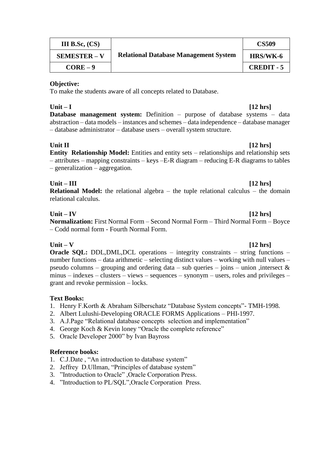| <b>III</b> B.Sc, $(CS)$ | <b>Relational Database Management System</b> | <b>CS509</b>      |
|-------------------------|----------------------------------------------|-------------------|
| <b>SEMESTER – V</b>     |                                              | HRS/WK-6          |
| $CORE-9$                |                                              | <b>CREDIT - 5</b> |

To make the students aware of all concepts related to Database.

# **Unit – I [12 hrs]**

**Database management system:** Definition – purpose of database systems – data abstraction – data models – instances and schemes – data independence – database manager – database administrator – database users – overall system structure.

# **Unit II [12 hrs]**

**Entity Relationship Model:** Entities and entity sets – relationships and relationship sets – attributes – mapping constraints – keys –E-R diagram – reducing E-R diagrams to tables – generalization – aggregation.

# **Unit – III [12 hrs]**

**Relational Model:** the relational algebra – the tuple relational calculus – the domain relational calculus.

# **Unit – IV [12 hrs]**

**Normalization:** First Normal Form – Second Normal Form – Third Normal Form – Boyce – Codd normal form - Fourth Normal Form.

**Unit – V [12 hrs] Oracle SQL:** DDL,DML,DCL operations – integrity constraints – string functions – number functions – data arithmetic – selecting distinct values – working with null values – pseudo columns – grouping and ordering data – sub queries – joins – union , intersect  $\&$ minus – indexes – clusters – views – sequences – synonym – users, roles and privileges – grant and revoke permission – locks.

# **Text Books:**

- 1. Henry F.Korth & Abraham Silberschatz "Database System concepts"- TMH-1998.
- 2. Albert Lulushi-Developing ORACLE FORMS Applications PHI-1997.
- 3. A.J.Page "Relational database concepts selection and implementation"
- 4. George Koch & Kevin loney "Oracle the complete reference"
- 5. Oracle Developer 2000" by Ivan Bayross

- 1. C.J.Date , "An introduction to database system"
- 2. Jeffrey D.Ullman, "Principles of database system"
- 3. "Introduction to Oracle" ,Oracle Corporation Press.
- 4. "Introduction to PL/SQL",Oracle Corporation Press.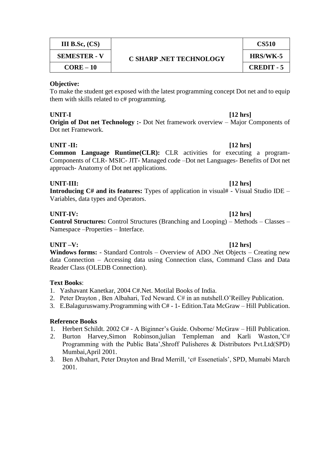| <b>III</b> B.Sc, $(CS)$ | <b>C SHARP .NET TECHNOLOGY</b> | <b>CS510</b>      |
|-------------------------|--------------------------------|-------------------|
| <b>SEMESTER - V</b>     |                                | HRS/WK-5          |
| $CORE-10$               |                                | <b>CREDIT - 5</b> |

To make the student get exposed with the latest programming concept Dot net and to equip them with skills related to  $c$ # programming.

# **UNIT-I [12 hrs]**

**Origin of Dot net Technology :-** Dot Net framework overview – Major Components of Dot net Framework.

# **UNIT -II: [12 hrs]**

**Common Language Runtime(CLR):** CLR activities for executing a program-Components of CLR- MSIC- JIT- Managed code –Dot net Languages- Benefits of Dot net approach- Anatomy of Dot net applications.

# **UNIT-III: [12 hrs]**

**Introducing C# and its features:** Types of application in visual# - Visual Studio IDE – Variables, data types and Operators.

# **UNIT-IV: [12 hrs]**

**Control Structures:** Control Structures (Branching and Looping) – Methods – Classes – Namespace –Properties – Interface.

**UNIT –V: [12 hrs] Windows forms:** - Standard Controls – Overview of ADO .Net Objects – Creating new data Connection – Accessing data using Connection class, Command Class and Data Reader Class (OLEDB Connection).

# **Text Books**:

- 1. Yashavant Kanetkar, 2004 C#.Net. Motilal Books of India.
- 2. Peter Drayton , Ben Albahari, Ted Neward. C# in an nutshell.O'Reilley Publication.
- 3. E.Balaguruswamy.Programming with C# 1- Edition.Tata McGraw Hill Publication.

- 1. Herbert Schildt. 2002 C# A Biginner's Guide. Osborne/ McGraw Hill Publication.
- 2. Burton Harvey,Simon Robinson,julian Templeman and Karli Waston,'C# Programming with the Public Bata',Shroff Pulisheres & Distributors Pvt.Ltd(SPD) Mumbai,April 2001.
- 3. Ben Albahart, Peter Drayton and Brad Merrill, 'c# Essenetials', SPD, Mumabi March 2001.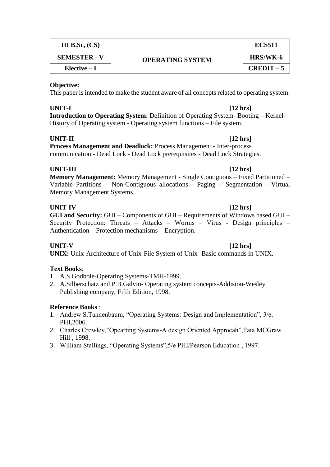| <b>III</b> B.Sc, $(CS)$ | <b>OPERATING SYSTEM</b> | <b>ECS511</b>   |
|-------------------------|-------------------------|-----------------|
| <b>SEMESTER - V</b>     |                         | <b>HRS/WK-6</b> |
| $Elective-I$            |                         | $CREDIT-5$      |

This paper is intended to make the student aware of all concepts related to operating system.

# **UNIT-I [12 hrs]**

**Introduction to Operating System**: Definition of Operating System- Booting – Kernel-History of Operating system - Operating system functions – File system.

### **UNIT-II [12 hrs]**

**Process Management and Deadlock:** Process Management - Inter-process communication - Dead Lock - Dead Lock prerequisites - Dead Lock Strategies.

### **UNIT-III [12 hrs]**

**Memory Management:** Memory Management - Single Contiguous – Fixed Partitioned – Variable Partitions – Non-Contiguous allocations - Paging – Segmentation - Virtual Memory Management Systems.

### **UNIT-IV [12 hrs]**

**GUI and Security:** GUI – Components of GUI – Requirements of Windows based GUI – Security Protection: Threats – Attacks – Worms – Virus - Design principles – Authentication – Protection mechanisms – Encryption.

# **UNIT-V [12 hrs]**

**UNIX:** Unix-Architecture of Unix-File System of Unix- Basic commands in UNIX.

# **Text Books**:

- 1. A.S.Godbole-Operating Systems-TMH-1999.
- 2. A.Silberschatz and P.B.Galvin- Operating system concepts-Addision-Wesley Publishing company, Fifth Edition, 1998.

- 1. Andrew S.Tannenbaum, "Operating Systems: Design and Implementation", 3/e, PHI,2006.
- 2. Charles Crowley,"Opearting Systems-A design Oriented Approcah",Tata MCGraw Hill , 1998.
- 3. William Stallings, "Operating Systems",5/e PHI/Pearson Education , 1997.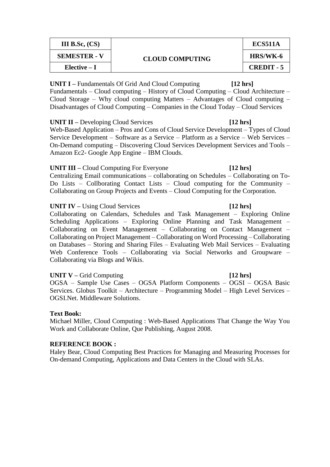| III B.Sc, $(CS)$    | <b>CLOUD COMPUTING</b> | <b>ECS511A</b>    |
|---------------------|------------------------|-------------------|
| <b>SEMESTER - V</b> |                        | <b>HRS/WK-6</b>   |
| $Elective-I$        |                        | <b>CREDIT - 5</b> |

**UNIT I –** Fundamentals Of Grid And Cloud Computing **[12 hrs]** Fundamentals – Cloud computing – History of Cloud Computing – Cloud Architecture – Cloud Storage – Why cloud computing Matters – Advantages of Cloud computing – Disadvantages of Cloud Computing – Companies in the Cloud Today – Cloud Services

### **UNIT II –** Developing Cloud Services **[12 hrs]**

Web-Based Application – Pros and Cons of Cloud Service Development – Types of Cloud Service Development – Software as a Service – Platform as a Service – Web Services – On-Demand computing – Discovering Cloud Services Development Services and Tools – Amazon Ec2- Google App Engine – IBM Clouds.

### **UNIT III –** Cloud Computing For Everyone **[12 hrs]**

Centralizing Email communications – collaborating on Schedules – Collaborating on To-Do Lists – Collborating Contact Lists – Cloud computing for the Community – Collaborating on Group Projects and Events – Cloud Computing for the Corporation.

### **UNIT IV –** Using Cloud Services **[12 hrs]**

Collaborating on Calendars, Schedules and Task Management – Exploring Online Scheduling Applications – Exploring Online Planning and Task Management – Collaborating on Event Management – Collaborating on Contact Management – Collaborating on Project Management – Collaborating on Word Processing – Collaborating on Databases – Storing and Sharing Files – Evaluating Web Mail Services – Evaluating Web Conference Tools – Collaborating via Social Networks and Groupware – Collaborating via Blogs and Wikis.

### **UNIT V –** Grid Computing **[12 hrs]**

OGSA – Sample Use Cases – OGSA Platform Components – OGSI – OGSA Basic Services. Globus Toolkit – Architecture – Programming Model – High Level Services – OGSI.Net. Middleware Solutions.

### **Text Book:**

Michael Miller, Cloud Computing : Web-Based Applications That Change the Way You Work and Collaborate Online, Que Publishing, August 2008.

### **REFERENCE BOOK :**

Haley Bear, Cloud Computing Best Practices for Managing and Measuring Processes for On-demand Computing, Applications and Data Centers in the Cloud with SLAs.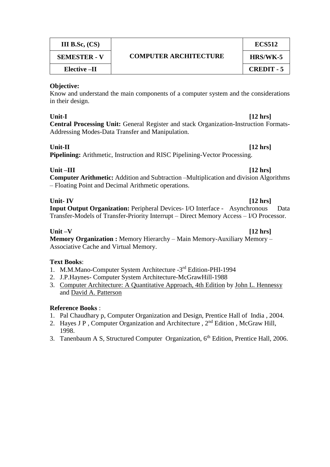| III B.Sc, $(CS)$    | <b>COMPUTER ARCHITECTURE</b> | ECS512            |
|---------------------|------------------------------|-------------------|
| <b>SEMESTER - V</b> |                              | <b>HRS/WK-5</b>   |
| Elective –II        |                              | <b>CREDIT - 5</b> |

Know and understand the main components of a computer system and the considerations in their design.

### **Unit-I [12 hrs]**

**Central Processing Unit:** General Register and stack Organization-Instruction Formats-Addressing Modes-Data Transfer and Manipulation.

# **Unit-II [12 hrs]**

**Pipelining:** Arithmetic, Instruction and RISC Pipelining-Vector Processing.

# **Unit –III [12 hrs]**

**Computer Arithmetic:** Addition and Subtraction –Multiplication and division Algorithms – Floating Point and Decimal Arithmetic operations.

**Unit- IV [12 hrs] Input Output Organization:** Peripheral Devices- I/O Interface - Asynchronous Data Transfer-Models of Transfer-Priority Interrupt – Direct Memory Access – I/O Processor.

# **Unit –V [12 hrs]**

**Memory Organization :** Memory Hierarchy – Main Memory-Auxiliary Memory – Associative Cache and Virtual Memory.

# **Text Books**:

- 1. M.M.Mano-Computer System Architecture -3rd Edition-PHI-1994
- 2. J.P.Haynes- Computer System Architecture-McGrawHill-1988
- 3. [Computer Architecture: A Quantitative Approach, 4th Edition](http://www.amazon.com/Computer-Architecture-Quantitative-Approach-4th/dp/0123704901/ref=sr_1_1?ie=UTF8&s=books&qid=1276781965&sr=1-1) by [John L. Hennessy](http://www.amazon.com/John-L.-Hennessy/e/B000APA2GC/ref=sr_ntt_srch_lnk_1?_encoding=UTF8&qid=1276781965&sr=1-1) and [David A. Patterson](http://www.amazon.com/David-A.-Patterson/e/B000APBUAE/ref=sr_ntt_srch_lnk_1?_encoding=UTF8&qid=1276781965&sr=1-1)

- 1. Pal Chaudhary p, Computer Organization and Design, Prentice Hall of India , 2004.
- 2. Hayes J P , Computer Organization and Architecture , 2nd Edition , McGraw Hill, 1998.
- 3. Tanenbaum A S, Structured Computer Organization, 6<sup>th</sup> Edition, Prentice Hall, 2006.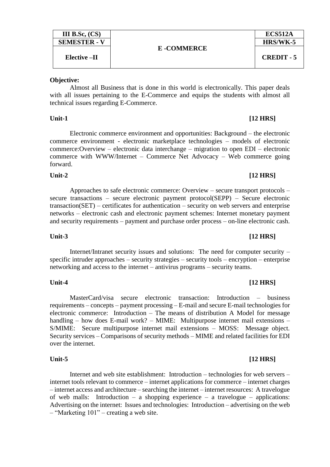| III B.Sc. $(CS)$    |                   | ECS512A           |
|---------------------|-------------------|-------------------|
| <b>SEMESTER - V</b> |                   | HRS/WK-5          |
|                     | <b>E-COMMERCE</b> |                   |
| Elective –II        |                   | <b>CREDIT - 5</b> |
|                     |                   |                   |

Almost all Business that is done in this world is electronically. This paper deals with all issues pertaining to the E-Commerce and equips the students with almost all technical issues regarding E-Commerce.

### Unit-1 [12 HRS]

Electronic commerce environment and opportunities: Background – the electronic commerce environment - electronic marketplace technologies – models of electronic commerce:Overview – electronic data interchange – migration to open EDI – electronic commerce with WWW/Internet – Commerce Net Advocacy – Web commerce going forward.

# Unit-2 [12 HRS]

# Approaches to safe electronic commerce: Overview – secure transport protocols – secure transactions – secure electronic payment protocol(SEPP) – Secure electronic transaction(SET) – certificates for authentication – security on web servers and enterprise networks – electronic cash and electronic payment schemes: Internet monetary payment and security requirements – payment and purchase order process – on-line electronic cash.

Internet/Intranet security issues and solutions: The need for computer security – specific intruder approaches – security strategies – security tools – encryption – enterprise networking and access to the internet – antivirus programs – security teams.

# MasterCard/visa secure electronic transaction: Introduction – business requirements – concepts – payment processing – E-mail and secure E-mail technologies for electronic commerce: Introduction – The means of distribution A Model for message handling – how does E-mail work? – MIME: Multipurpose internet mail extensions – S/MIME: Secure multipurpose internet mail extensions – MOSS: Message object. Security services – Comparisons of security methods – MIME and related facilities for EDI over the internet.

### Unit-5 [12 HRS]

Internet and web site establishment: Introduction – technologies for web servers – internet tools relevant to commerce – internet applications for commerce – internet charges – internet access and architecture – searching the internet – internet resources: A travelogue of web malls: Introduction – a shopping experience – a travelogue – applications: Advertising on the internet: Issues and technologies: Introduction – advertising on the web – "Marketing 101" – creating a web site.

# Unit-3 [12 HRS]

### Unit-4 [12 HRS]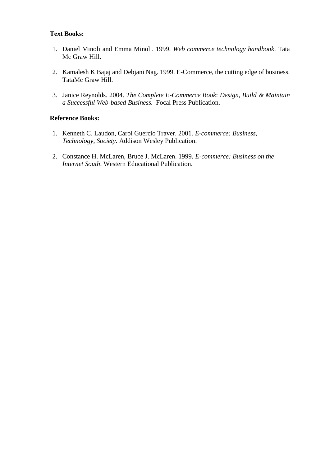# **Text Books:**

- 1. Daniel Minoli and Emma Minoli. 1999. *Web commerce technology handbook*. Tata Mc Graw Hill.
- 2. Kamalesh K Bajaj and Debjani Nag. 1999. E-Commerce, the cutting edge of business. TataMc Graw Hill.
- 3. Janice Reynolds. 2004. *The Complete E-Commerce Book*: *Design, Build & Maintain a Successful Web-based Business.* Focal Press Publication.

- 1. Kenneth C. Laudon, Carol Guercio Traver. 2001. *E-commerce: Business, Technology, Society*. Addison Wesley Publication.
- 2. Constance H. McLaren, Bruce J. McLaren. 1999. *E-commerce: Business on the Internet South*. Western Educational Publication.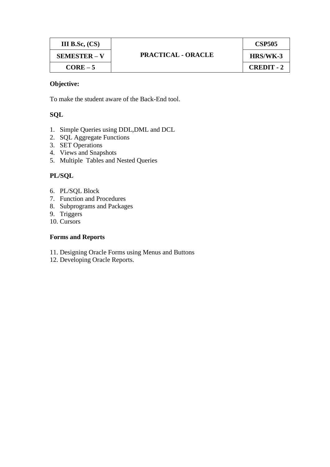| <b>III</b> B.Sc, $(CS)$ |                           | <b>CSP505</b>     |
|-------------------------|---------------------------|-------------------|
| <b>SEMESTER – V</b>     | <b>PRACTICAL - ORACLE</b> | HRS/WK-3          |
| $CORE-5$                |                           | <b>CREDIT - 2</b> |

To make the student aware of the Back-End tool.

# **SQL**

- 1. Simple Queries using DDL,DML and DCL
- 2. SQL Aggregate Functions
- 3. SET Operations
- 4. Views and Snapshots
- 5. Multiple Tables and Nested Queries

# **PL/SQL**

- 6. PL/SQL Block
- 7. Function and Procedures
- 8. Subprograms and Packages
- 9. Triggers
- 10. Cursors

### **Forms and Reports**

- 11. Designing Oracle Forms using Menus and Buttons
- 12. Developing Oracle Reports.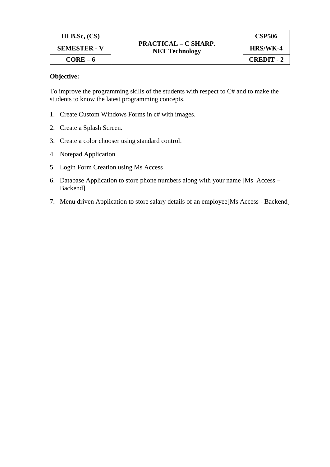| III B.Sc, $(CS)$    | <b>PRACTICAL – C SHARP.</b><br><b>NET Technology</b> | <b>CSP506</b>     |
|---------------------|------------------------------------------------------|-------------------|
| <b>SEMESTER - V</b> |                                                      | HRS/WK-4          |
| $CORE-6$            |                                                      | <b>CREDIT - 2</b> |

To improve the programming skills of the students with respect to C# and to make the students to know the latest programming concepts.

- 1. Create Custom Windows Forms in c# with images.
- 2. Create a Splash Screen.
- 3. Create a color chooser using standard control.
- 4. Notepad Application.
- 5. Login Form Creation using Ms Access
- 6. Database Application to store phone numbers along with your name [Ms Access Backend]
- 7. Menu driven Application to store salary details of an employee[Ms Access Backend]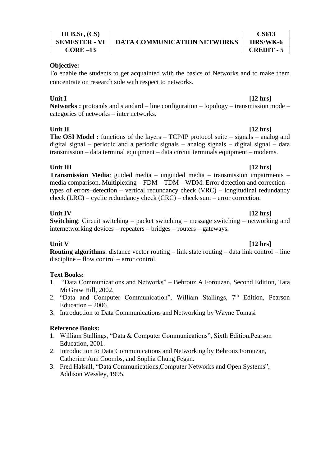| III B.Sc. $(CS)$     |                                    | CS613             |
|----------------------|------------------------------------|-------------------|
| <b>SEMESTER - VI</b> | <b>DATA COMMUNICATION NETWORKS</b> | <b>HRS/WK-6</b>   |
| $CORE-13$            |                                    | <b>CREDIT - 5</b> |

To enable the students to get acquainted with the basics of Networks and to make them concentrate on research side with respect to networks.

# **Unit I [12 hrs]**

**Networks :** protocols and standard – line configuration – topology – transmission mode – categories of networks – inter networks.

**Unit II [12 hrs] The OSI Model :** functions of the layers – TCP/IP protocol suite – signals – analog and digital signal – periodic and a periodic signals – analog signals – digital signal – data transmission – data terminal equipment – data circuit terminals equipment – modems.

**Unit III [12 hrs] Transmission Media**: guided media – unguided media – transmission impairments – media comparison. Multiplexing – FDM – TDM – WDM. Error detection and correction – types of errors–detection – vertical redundancy check (VRC) – longitudinal redundancy check (LRC) – cyclic redundancy check (CRC) – check sum – error correction.

**Unit IV [12 hrs] Switching**: Circuit switching – packet switching – message switching – networking and internetworking devices – repeaters – bridges – routers – gateways.

**Unit V [12 hrs] Routing algorithms**: distance vector routing – link state routing – data link control – line discipline – flow control – error control.

# **Text Books:**

- 1. "Data Communications and Networks" Behrouz A Forouzan, Second Edition, Tata McGraw Hill, 2002.
- 2. "Data and Computer Communication", William Stallings,  $7<sup>th</sup>$  Edition, Pearson Education – 2006.
- 3. [Introduction to Data Communications and Networking](http://www.amazon.com/Introduction-Communications-Networking-Wayne-Tomasi/dp/0130138282/ref=sr_1_8?ie=UTF8&s=books&qid=1276782296&sr=1-8) by [Wayne Tomasi](http://www.amazon.com/Wayne-Tomasi/e/B001ITYE4A/ref=sr_ntt_srch_lnk_7?_encoding=UTF8&qid=1276782296&sr=1-8)

- 1. William Stallings, "Data & Computer Communications", Sixth Edition,Pearson Education, 2001.
- 2. [Introduction to Data Communications and Networking](http://www.amazon.com/Introduction-Communications-Networking-Behrouz-Forouzan/dp/0256230447/ref=sr_1_6?ie=UTF8&s=books&qid=1276782296&sr=1-6) by Behrouz Forouzan, Catherine Ann Coombs, and [Sophia Chung Fegan.](http://www.amazon.com/Sophia-Chung-Fegan/e/B001IQWOZO/ref=sr_ntt_srch_lnk_5?_encoding=UTF8&qid=1276782296&sr=1-6)
- 3. Fred Halsall, "Data Communications,Computer Networks and Open Systems", Addison Wessley, 1995.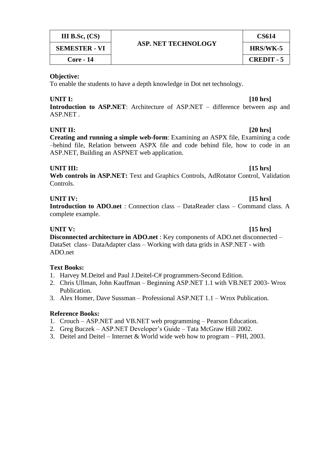| <b>III</b> B.Sc, $(CS)$ | <b>ASP. NET TECHNOLOGY</b> | CS614             |
|-------------------------|----------------------------|-------------------|
| <b>SEMESTER - VI</b>    |                            | HRS/WK-5          |
| <b>Core - 14</b>        |                            | <b>CREDIT - 5</b> |

To enable the students to have a depth knowledge in Dot net technology.

### **UNIT I: [10 hrs]**

**Introduction to ASP.NET**: Architecture of ASP.NET – difference between asp and ASP.NET .

### **UNIT II: [20 hrs]**

**Creating and running a simple web-form**: Examining an ASPX file, Examining a code –behind file, Relation between ASPX file and code behind file, how to code in an ASP.NET, Building an ASPNET web application.

### **UNIT III: [15 hrs]**

**Web controls in ASP.NET:** Text and Graphics Controls, AdRotator Control, Validation Controls.

# **UNIT IV: [15 hrs]**

**Introduction to ADO.net** : Connection class – DataReader class – Command class. A complete example.

**UNIT V: [15 hrs] Disconnected architecture in ADO.net** : Key components of ADO.net disconnected – DataSet class– DataAdapter class – Working with data grids in ASP.NET - with ADO.net

# **Text Books:**

- 1. Harvey M.Deitel and Paul J.Deitel-C# programmers-Second Edition.
- 2. Chris Ullman, John Kauffman Beginning ASP.NET 1.1 with VB.NET 2003- Wrox Publication.
- 3. Alex Homer, Dave Sussman Professional ASP.NET 1.1 Wrox Publication.

- 1. Crouch ASP.NET and VB.NET web programming Pearson Education.
- 2. Greg Buczek ASP.NET Developer's Guide Tata McGraw Hill 2002.
- 3. Deitel and Deitel Internet & World wide web how to program PHI, 2003.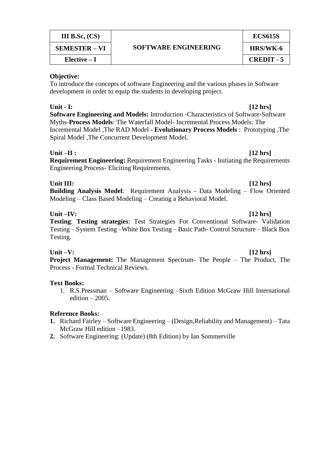| III B.Sc, $(CS)$     | SOFTWARE ENGINEERING | <b>ECS615S</b>    |
|----------------------|----------------------|-------------------|
| <b>SEMESTER – VI</b> |                      | HRS/WK-6          |
| $Elective-I$         |                      | <b>CREDIT - 5</b> |

To introduce the concepts of software Engineering and the various phases in Software development in order to equip the students in developing project.

**Unit - I: [12 hrs] Software Engineering and Models:** Introduction -Characteristics of Software-Software Myths-**Process Models**: The Waterfall Model- Incremental Process Models: The Incremental Model ,The RAD Model - **Evolutionary Process Models** : Prototyping ,The Spiral Model ,The Concurrent Development Model.

# **Unit –II : [12 hrs]**

**Requirement Engineering:** Requirement Engineering Tasks - Initiating the Requirements Engineering Process- Eliciting Requirements.

# **Unit III: [12 hrs]**

**Building Analysis Model**: Requirement Analysis - Data Modeling – Flow Oriented Modeling – Class Based Modeling – Creating a Behavioral Model.

**Unit –IV: [12 hrs] Testing**: **Testing strategies**: Test Strategies For Conventional Software- Validation Testing – System Testing –White Box Testing – Basic Path- Control Structure – Black Box Testing.

# **Unit –V: [12 hrs]**

**Project Management:** The Management Spectrum- The People – The Product, The Process - Formal Technical Reviews.

# **Text Books:**

1. R.S.Pressman – Software Engineering –Sixth Edition McGraw Hill International edition  $-2005$ .

- **1.** Richard Fairley Software Engineering (Design,Reliability and Management) Tata McGraw Hill edition –1983.
- **2.** [Software Engineering: \(Update\) \(8th Edition\)](http://www.amazon.com/Software-Engineering-Update-Ian-Sommerville/dp/0321313798/ref=sr_1_1?ie=UTF8&s=books&qid=1276782134&sr=1-1) by Ian Sommerville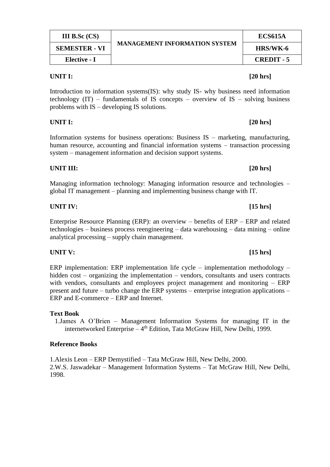| <b>III</b> B.Sc $(CS)$ | <b>MANAGEMENT INFORMATION SYSTEM</b> | <b>ECS615A</b> |
|------------------------|--------------------------------------|----------------|
| <b>SEMESTER - VI</b>   |                                      | HRS/WK-6       |
| Elective - I           |                                      | CREDIT - 5     |

### **UNIT I: [20 hrs]**

Introduction to information systems(IS): why study IS- why business need information technology  $(IT)$  – fundamentals of IS concepts – overview of IS – solving business problems with IS – developing IS solutions.

**UNIT I: [20 hrs]**

Information systems for business operations: Business IS – marketing, manufacturing, human resource, accounting and financial information systems – transaction processing system – management information and decision support systems.

# **UNIT III: [20 hrs]**

Managing information technology: Managing information resource and technologies – global IT management – planning and implementing business change with IT.

**UNIT IV: [15 hrs]**

Enterprise Resource Planning (ERP): an overview – benefits of ERP – ERP and related technologies – business process reengineering – data warehousing – data mining – online analytical processing – supply chain management.

ERP implementation: ERP implementation life cycle – implementation methodology – hidden cost – organizing the implementation – vendors, consultants and users contracts with vendors, consultants and employees project management and monitoring – ERP present and future – turbo change the ERP systems – enterprise integration applications – ERP and E-commerce – ERP and Internet.

### **Text Book**

1.James A O'Brien – Management Information Systems for managing IT in the internetworked Enterprise - 4<sup>th</sup> Edition, Tata McGraw Hill, New Delhi, 1999.

### **Reference Books**

1.Alexis Leon – ERP Demystified – Tata McGraw Hill, New Delhi, 2000. 2.W.S. Jaswadekar – Management Information Systems – Tat McGraw Hill, New Delhi, 1998.

# **UNIT V: [15 hrs]**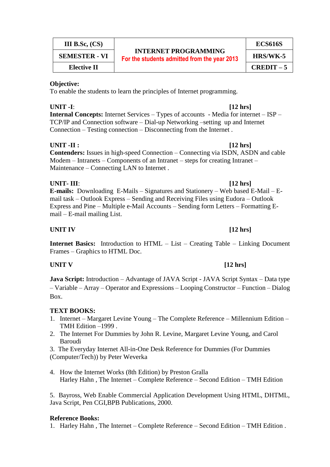| III B.Sc, $(CS)$   |  |
|--------------------|--|
| SEMESTER - VI      |  |
| <b>Elective II</b> |  |

# **INTERNET PROGRAMMING For the students admitted from the year 2013** HRS/WK-5

**ECS616S**

**Elective II CREDIT – 5**

# **Objective:**

To enable the students to learn the principles of Internet programming.

# **UNIT -I**: **[12 hrs]**

**Internal Concepts:** Internet Services – Types of accounts - Media for internet – ISP – TCP/IP and Connection software – Dial-up Networking –setting up and Internet Connection – Testing connection – Disconnecting from the Internet .

**UNIT -II : [12 hrs] Contenders:** Issues in high-speed Connection – Connecting via ISDN, ASDN and cable Modem – Intranets – Components of an Intranet – steps for creating Intranet – Maintenance – Connecting LAN to Internet .

# **UNIT- III**: **[12 hrs]**

**E-mails:** Downloading E-Mails – Signatures and Stationery – Web based E-Mail – Email task – Outlook Express – Sending and Receiving Files using Eudora – Outlook Express and Pine – Multiple e-Mail Accounts – Sending form Letters – Formatting Email – E-mail mailing List.

# **UNIT IV [12 hrs]**

**Internet Basics:** Introduction to HTML – List – Creating Table – Linking Document Frames – Graphics to HTML Doc.

# **UNIT V** [12 hrs]

**Java Script:** Introduction – Advantage of JAVA Script - JAVA Script Syntax – Data type – Variable – Array – Operator and Expressions – Looping Constructor – Function – Dialog Box.

# **TEXT BOOKS:**

- 1. Internet Margaret Levine Young The Complete Reference Millennium Edition TMH Edition –1999 .
- 2. The Internet For Dummies by John R. Levine, Margaret Levine Young, and Carol Baroudi

3. The Everyday Internet All-in-One Desk Reference for Dummies (For Dummies (Computer/Tech)) by Peter Weverka

4. How the Internet Works (8th Edition) by Preston Gralla Harley Hahn , The Internet – Complete Reference – Second Edition – TMH Edition

5. Bayross, Web Enable Commercial Application Development Using HTML, DHTML, Java Script, Pen CGI,BPB Publications, 2000.

# **Reference Books:**

1. Harley Hahn , The Internet – Complete Reference – Second Edition – TMH Edition .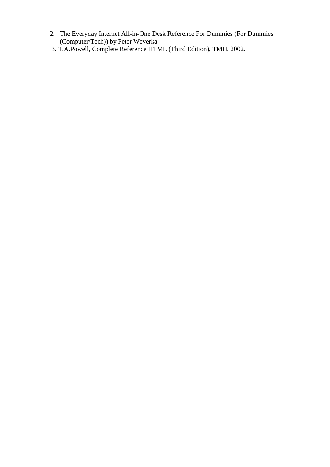- 2. The Everyday Internet All-in-One Desk Reference For Dummies (For Dummies (Computer/Tech)) by Peter Weverka
- 3. T.A.Powell, Complete Reference HTML (Third Edition), TMH, 2002.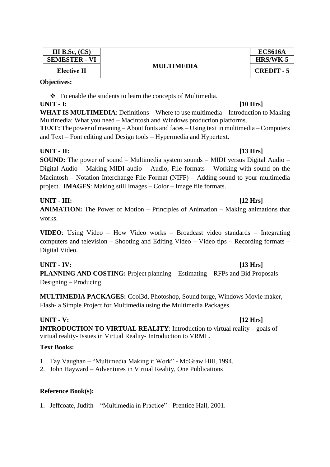| <b>III</b> B.Sc, $(CS)$ |                   | <b>ECS616A</b>    |
|-------------------------|-------------------|-------------------|
| <b>SEMESTER - VI</b>    | <b>MULTIMEDIA</b> | HRS/WK-5          |
| Elective II             |                   | <b>CREDIT - 5</b> |

\* To enable the students to learn the concepts of Multimedia.

# **UNIT - I: [10 Hrs]**

**WHAT IS MULTIMEDIA**: Definitions – Where to use multimedia – Introduction to Making Multimedia: What you need – Macintosh and Windows production platforms.

**TEXT:** The power of meaning – About fonts and faces – Using text in multimedia – Computers and Text – Font editing and Design tools – Hypermedia and Hypertext.

# **UNIT - II: [13 Hrs]**

**SOUND:** The power of sound – Multimedia system sounds – MIDI versus Digital Audio – Digital Audio – Making MIDI audio – Audio, File formats – Working with sound on the Macintosh – Notation Interchange File Format (NIFF) – Adding sound to your multimedia project. **IMAGES**: Making still Images – Color – Image file formats.

# **UNIT - III: [12 Hrs]**

**ANIMATION:** The Power of Motion – Principles of Animation – Making animations that works.

**VIDEO**: Using Video – How Video works – Broadcast video standards – Integrating computers and television – Shooting and Editing Video – Video tips – Recording formats – Digital Video.

# **UNIT - IV: [13 Hrs]**

**PLANNING AND COSTING:** Project planning – Estimating – RFPs and Bid Proposals - Designing – Producing.

**MULTIMEDIA PACKAGES:** Cool3d, Photoshop, Sound forge, Windows Movie maker, Flash- a Simple Project for Multimedia using the Multimedia Packages.

# **UNIT - V: [12 Hrs]**

**INTRODUCTION TO VIRTUAL REALITY**: Introduction to virtual reality – goals of virtual reality- Issues in Virtual Reality- Introduction to VRML.

# **Text Books:**

- 1. Tay Vaughan "Multimedia Making it Work" McGraw Hill, 1994.
- 2. John Hayward Adventures in Virtual Reality, One Publications

# **Reference Book(s):**

1. Jeffcoate, Judith – "Multimedia in Practice" - Prentice Hall, 2001.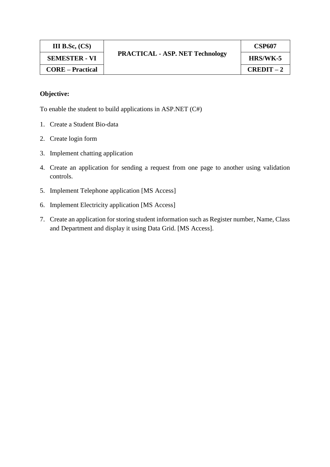| III B.Sc, $(CS)$        | <b>PRACTICAL - ASP. NET Technology</b> | <b>CSP607</b> |
|-------------------------|----------------------------------------|---------------|
| <b>SEMESTER - VI</b>    |                                        | HRS/WK-5      |
| <b>CORE</b> – Practical |                                        | $CREDIT-2$    |

To enable the student to build applications in ASP.NET (C#)

- 1. Create a Student Bio-data
- 2. Create login form
- 3. Implement chatting application
- 4. Create an application for sending a request from one page to another using validation controls.
- 5. Implement Telephone application [MS Access]
- 6. Implement Electricity application [MS Access]
- 7. Create an application for storing student information such as Register number, Name, Class and Department and display it using Data Grid. [MS Access].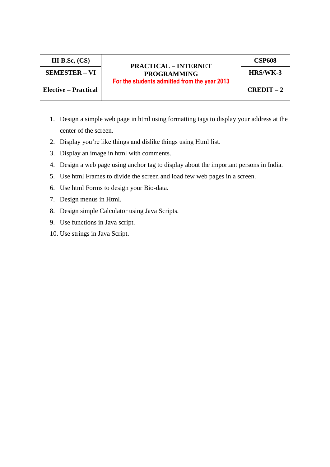# **PRACTICAL – INTERNET PROGRAMMING SEMESTER – VI HRS/WK-3 For the students admitted from the year 2013**

**CSP608**

**Elective – Practical CREDIT – 2**

- 1. Design a simple web page in html using formatting tags to display your address at the center of the screen.
- 2. Display you're like things and dislike things using Html list.
- 3. Display an image in html with comments.
- 4. Design a web page using anchor tag to display about the important persons in India.
- 5. Use html Frames to divide the screen and load few web pages in a screen.
- 6. Use html Forms to design your Bio-data.
- 7. Design menus in Html.
- 8. Design simple Calculator using Java Scripts.
- 9. Use functions in Java script.
- 10. Use strings in Java Script.